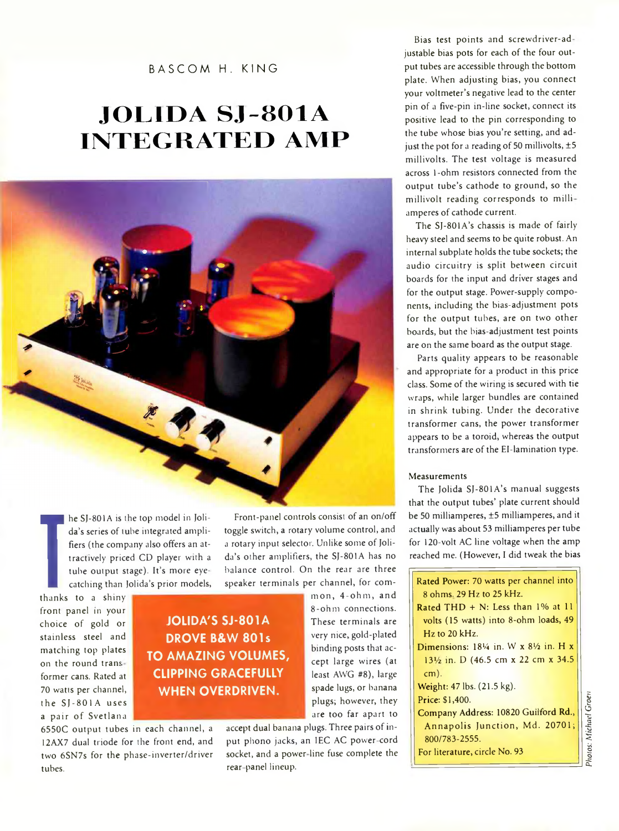### BASCOM H. KING

# **JO L 1D A S J -8 0 1 A INTEGRATED AMP**

Front-panel controls consist of an on/off

**Thanks** than thanks to a shiny he SJ-801A is the top model in Jolida's series of tube integrated amplifiers (the company also offers an attractively priced CD player with a tube output stage). It's more eyecatching than Jolida's prior models,

front panel in your choice of gold or stainless steel and matching top plates on the round tram former cans. Rated at 70 watts per channel, the SJ-801A uses a pair of Svetlana

**JOLIDA'S SJ-801A DROVE B&W 801s TO AMAZING VOLUMES, CLIPPING GRACEFULLY WHEN OVERDRIVEN.**

6550C output tubes in each channel, a 12AX7 dual triode for the front end, and two 6SN7s for the phase-inverter/driver tubes.

toggle switch, a rotary volume control, and a rotary input selector. Unlike some of Jolida's other amplifiers, the SJ-801A has no balance control. On the rear are three speaker terminals per channel, for common, 4-ohm, and 8-ohm connections.

cept large wires (at least AWG #8), large spade lugs, or banana plugs; however, they are too far apart to accept dual banana plugs. Three pairs of input phono jacks, an IEC AC power-cord socket, and a power-line fuse complete the rear panel lineup.

These terminals are very nice, gold-plated binding posts that ac-

Bias test points and screwdriver-ad justable bias pots for each of the four output tubes are accessible through the bottom plate. When adjusting bias, you connect your voltmeter's negative lead to the center pin of a five-pin in-line socket, connect its positive lead to the pin corresponding to the tube whose bias you're setting, and adjust the pot for a reading of 50 millivolts,  $\pm$  5 millivolts. The test voltage is measured across 1-ohm resistors connected from the output tube's cathode to ground, so the millivolt reading corresponds to milli amperes of cathode current.

The SJ-801A's chassis is made of fairly heavy steel and seems to be quite robust. An internal subplate holds the tube sockets; the audio circuitry is split between circuit boards for the input and driver stages and for the output stage. Power-supply components, including the bias-adjustment pots for the output tubes, are on two other boards, but the bias-adjustment test points are on the same board as the output stage.

Parts quality appears to be reasonable and appropriate for a product in this price class. Some of the wiring is secured with tie wraps, while larger bundles are contained in shrink tubing. Under the decorative transformer cans, the power transformer appears to be a toroid, whereas the output transformers are of the El-lamination type.

#### Measurements

The Jolida SJ-801A's manual suggests that the output tubes' plate current should be 50 milliamperes, ±5 milliamperes, and it actually was about 53 milliamperes per tube for 120-volt AC line voltage when the amp reached me. (However, I did tweak the bias

| Rated Power: 70 watts per channel into                        |
|---------------------------------------------------------------|
| 8 ohms. 29 Hz to 25 kHz.                                      |
| Rated $THD + N$ : Less than $1\%$ at $11$                     |
| volts (15 watts) into 8-ohm loads, 49                         |
| $Hz$ to 20 kHz.                                               |
| Dimensions: $18\frac{1}{4}$ in. W x $8\frac{1}{2}$ in. H x    |
| 13 <sup>1</sup> / <sub>2</sub> in. D (46.5 cm x 22 cm x 34.5) |
| $cm)$ .                                                       |
| Weight: 47 lbs. (21.5 kg).                                    |
| Price: \$1,400.                                               |
| Company Address: 10820 Guilford Rd.,                          |
| Annapolis Junction, Md. 20701;                                |
| 800/783-2555.                                                 |
| For literature, circle No. 93                                 |
|                                                               |

Photos: Michael Groer *Photos: Michael Grom*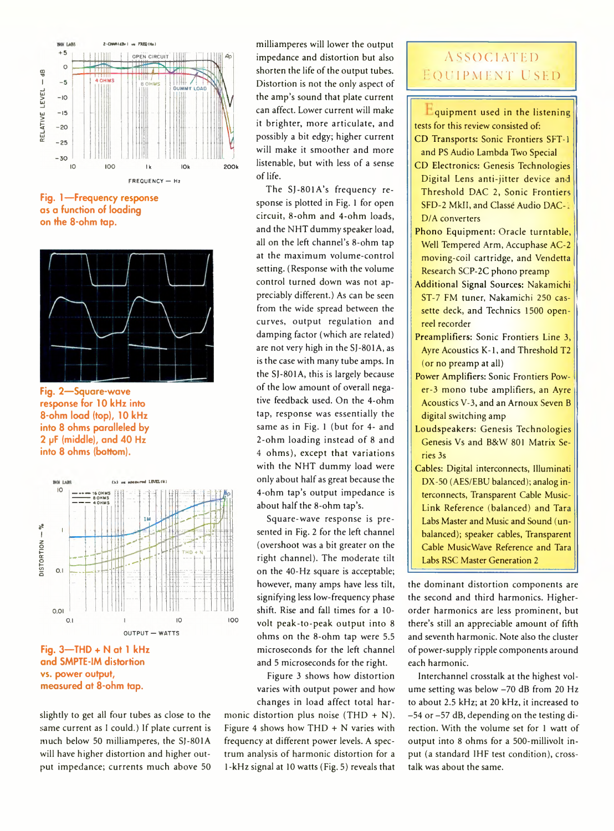

**Fig. 1— Frequency response as a function of loading on the 8-ohm tap.**



**Fig. 2— Square-wave response for 10 kHz into 8-ohm load (top), 10 kHz into 8 ohms paralleled by 2 pF (middle), and 40 Hz into 8 ohms (bottom).**



**Fig. 3— THD + N at 1 kHz and SMPTE-IM distortion vs. power output, measured at 8-ohm tap.**

slightly to get all four tubes as close to the same current as I could.) If plate current is much below 50 milliamperes, the SJ-801A will have higher distortion and higher output impedance; currents much above 50

milliamperes will lower the output impedance and distortion but also shorten the life of the output tubes. Distortion is not the only aspect of the amp's sound that plate current can affect. Lower current will make it brighter, more articulate, and possibly a bit edgy; higher current will make it smoother and more listenable, but with less of a sense of life.

The SJ-801A's frequency response is plotted in Fig. 1 for open circuit, 8-ohm and 4-ohm loads, and the NHT dummy speaker load, all on the left channel's 8-ohm tap at the maximum volume-control setting. (Response with the volume control turned down was not appreciably different.) As can be seen from the wide spread between the curves, output regulation and damping factor (which are related) are not very high in the SJ-801A, as is the case with many tube amps. In the SJ-801A, this is largely because of the low amount of overall negative feedback used. On the 4-ohm tap, response was essentially the same as in Fig. 1 (but for 4- and 2-ohm loading instead of 8 and 4 ohms), except that variations with the NHT dummy load were only about half as great because the 4-ohm tap's output impedance is about half the 8-ohm tap's.

Square-wave response is presented in Fig. 2 for the left channel (overshoot was a bit greater on the right channel). The moderate tilt on the 40-Hz square is acceptable; however, many amps have less tilt, signifying less low-frequency phase shift. Rise and fall times for a 10 volt peak-to-peak output into 8 ohms on the 8-ohm tap were 5.5 microseconds for the left channel and 5 microseconds for the right.

Figure 3 shows how distortion varies with output power and how changes in load affect total har-

monic distortion plus noise (THD  $+$  N). Figure 4 shows how THD + N varies with frequency at different power levels. A spectrum analysis of harmonic distortion for a 1-kHz signal at 10 watts (Fig. 5) reveals that

## **ASSOCIATED** EQUIPMENT USED

**L** quipment used in the listening tests for this review consisted of:

- CD Transports: Sonic Frontiers SFT-1 and PS Audio Lambda Two Special
- CD Electronics: Genesis Technologies Digital Lens anti-jitter device and Threshold DAC 2, Sonic Frontiers SFD-2 Mkll, and Classe Audio DAC-i D/A converters
- Phono Equipment: Oracle turntable, Well Tempered Arm, Accuphase AC-2 moving-coil cartridge, and Vendetta Research SCP-2C phono preamp
- Additional Signal Sources: Nakamichi ST-7 FM tuner, Nakamichi 250 cassette deck, and Technics 1500 openreel recorder
- Preamplifiers: Sonic Frontiers Line 3, Ayre Acoustics K-1, and Threshold T2 (or no preamp at all)
- Power Amplifiers: Sonic Frontiers Power-3 mono tube amplifiers, an Ayre Acoustics V-3, and an Arnoux Seven B digital switching amp
- Loudspeakers: Genesis Technologies Genesis Vs and B&W 801 Matrix Series 3s
- Cables: Digital interconnects, Illuminati DX-50 (AES/EBU balanced); analog interconnects, Transparent Cable Music-Link Reference (balanced) and Tara Labs Master and Music and Sound (unbalanced); speaker cables, Transparent Cable MusicWave Reference and Tara Labs RSC Master Generation 2

the dominant distortion components are the second and third harmonics. Higherorder harmonics are less prominent, but there's still an appreciable amount of fifth and seventh harmonic. Note also the cluster of power-supply ripple components around each harmonic.

Interchannel crosstalk at the highest volume setting was below -70 dB from 20 Hz to about 2.5 kHz; at 20 kHz, it increased to -54 or -57 dB, depending on the testing direction. With the volume set for 1 watt of output into 8 ohms for a 500-millivolt input (a standard 1HF test condition), crosstalk was about the same.